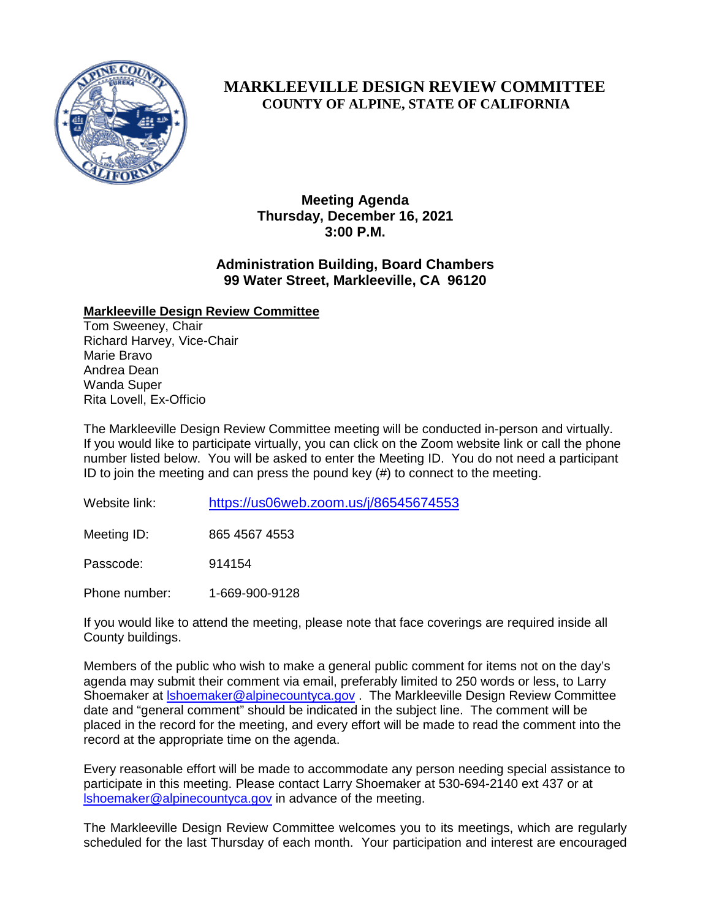

# **MARKLEEVILLE DESIGN REVIEW COMMITTEE COUNTY OF ALPINE, STATE OF CALIFORNIA**

**Meeting Agenda Thursday, December 16, 2021 3:00 P.M.**

## **Administration Building, Board Chambers 99 Water Street, Markleeville, CA 96120**

### **Markleeville Design Review Committee**

Tom Sweeney, Chair Richard Harvey, Vice-Chair Marie Bravo Andrea Dean Wanda Super Rita Lovell, Ex-Officio

The Markleeville Design Review Committee meeting will be conducted in-person and virtually. If you would like to participate virtually, you can click on the Zoom website link or call the phone number listed below. You will be asked to enter the Meeting ID. You do not need a participant ID to join the meeting and can press the pound key (#) to connect to the meeting.

Website link: <https://us06web.zoom.us/j/86545674553>

Meeting ID: 865 4567 4553

Passcode: 914154

Phone number: 1-669-900-9128

If you would like to attend the meeting, please note that face coverings are required inside all County buildings.

Members of the public who wish to make a general public comment for items not on the day's agenda may submit their comment via email, preferably limited to 250 words or less, to Larry Shoemaker at [lshoemaker@alpinecountyca.gov](mailto:lshoemaker@alpinecountyca.gov) . The Markleeville Design Review Committee date and "general comment" should be indicated in the subject line. The comment will be placed in the record for the meeting, and every effort will be made to read the comment into the record at the appropriate time on the agenda.

Every reasonable effort will be made to accommodate any person needing special assistance to participate in this meeting. Please contact Larry Shoemaker at 530-694-2140 ext 437 or at [lshoemaker@alpinecountyca.gov](mailto:lshoemaker@alpinecountyca.gov) in advance of the meeting.

The Markleeville Design Review Committee welcomes you to its meetings, which are regularly scheduled for the last Thursday of each month. Your participation and interest are encouraged